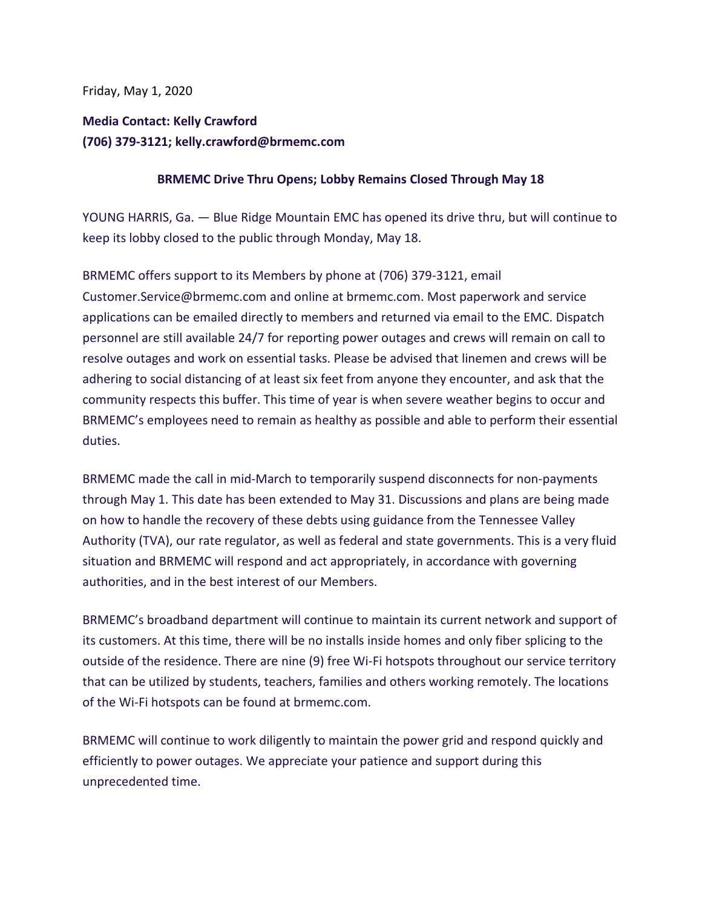Friday, May 1, 2020

## **Media Contact: Kelly Crawford (706) 379-3121; kelly.crawford@brmemc.com**

## **BRMEMC Drive Thru Opens; Lobby Remains Closed Through May 18**

YOUNG HARRIS, Ga. — Blue Ridge Mountain EMC has opened its drive thru, but will continue to keep its lobby closed to the public through Monday, May 18.

BRMEMC offers support to its Members by phone at (706) 379-3121, email Customer.Service@brmemc.com and online at brmemc.com. Most paperwork and service applications can be emailed directly to members and returned via email to the EMC. Dispatch personnel are still available 24/7 for reporting power outages and crews will remain on call to resolve outages and work on essential tasks. Please be advised that linemen and crews will be adhering to social distancing of at least six feet from anyone they encounter, and ask that the community respects this buffer. This time of year is when severe weather begins to occur and BRMEMC's employees need to remain as healthy as possible and able to perform their essential duties.

BRMEMC made the call in mid-March to temporarily suspend disconnects for non-payments through May 1. This date has been extended to May 31. Discussions and plans are being made on how to handle the recovery of these debts using guidance from the Tennessee Valley Authority (TVA), our rate regulator, as well as federal and state governments. This is a very fluid situation and BRMEMC will respond and act appropriately, in accordance with governing authorities, and in the best interest of our Members.

BRMEMC's broadband department will continue to maintain its current network and support of its customers. At this time, there will be no installs inside homes and only fiber splicing to the outside of the residence. There are nine (9) free Wi-Fi hotspots throughout our service territory that can be utilized by students, teachers, families and others working remotely. The locations of the Wi-Fi hotspots can be found at brmemc.com.

BRMEMC will continue to work diligently to maintain the power grid and respond quickly and efficiently to power outages. We appreciate your patience and support during this unprecedented time.